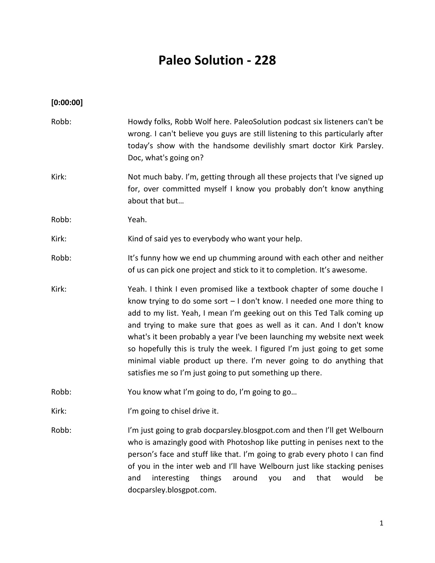# **Paleo Solution - 228**

# **[0:00:00]**

| Robb: | Howdy folks, Robb Wolf here. PaleoSolution podcast six listeners can't be<br>wrong. I can't believe you guys are still listening to this particularly after<br>today's show with the handsome devilishly smart doctor Kirk Parsley.<br>Doc, what's going on?                                                                                                                                                                                                                                                                                                                                       |
|-------|----------------------------------------------------------------------------------------------------------------------------------------------------------------------------------------------------------------------------------------------------------------------------------------------------------------------------------------------------------------------------------------------------------------------------------------------------------------------------------------------------------------------------------------------------------------------------------------------------|
| Kirk: | Not much baby. I'm, getting through all these projects that I've signed up<br>for, over committed myself I know you probably don't know anything<br>about that but                                                                                                                                                                                                                                                                                                                                                                                                                                 |
| Robb: | Yeah.                                                                                                                                                                                                                                                                                                                                                                                                                                                                                                                                                                                              |
| Kirk: | Kind of said yes to everybody who want your help.                                                                                                                                                                                                                                                                                                                                                                                                                                                                                                                                                  |
| Robb: | It's funny how we end up chumming around with each other and neither<br>of us can pick one project and stick to it to completion. It's awesome.                                                                                                                                                                                                                                                                                                                                                                                                                                                    |
| Kirk: | Yeah. I think I even promised like a textbook chapter of some douche I<br>know trying to do some sort $-1$ don't know. I needed one more thing to<br>add to my list. Yeah, I mean I'm geeking out on this Ted Talk coming up<br>and trying to make sure that goes as well as it can. And I don't know<br>what's it been probably a year I've been launching my website next week<br>so hopefully this is truly the week. I figured I'm just going to get some<br>minimal viable product up there. I'm never going to do anything that<br>satisfies me so I'm just going to put something up there. |
| Robb: | You know what I'm going to do, I'm going to go                                                                                                                                                                                                                                                                                                                                                                                                                                                                                                                                                     |
| Kirk: | I'm going to chisel drive it.                                                                                                                                                                                                                                                                                                                                                                                                                                                                                                                                                                      |
| Robb: | I'm just going to grab docparsley.blosgpot.com and then I'll get Welbourn<br>who is amazingly good with Photoshop like putting in penises next to the<br>person's face and stuff like that. I'm going to grab every photo I can find<br>of you in the inter web and I'll have Welbourn just like stacking penises<br>interesting<br>that<br>things<br>around<br>would<br>be<br>and<br>you<br>and<br>docparsley.blosgpot.com.                                                                                                                                                                       |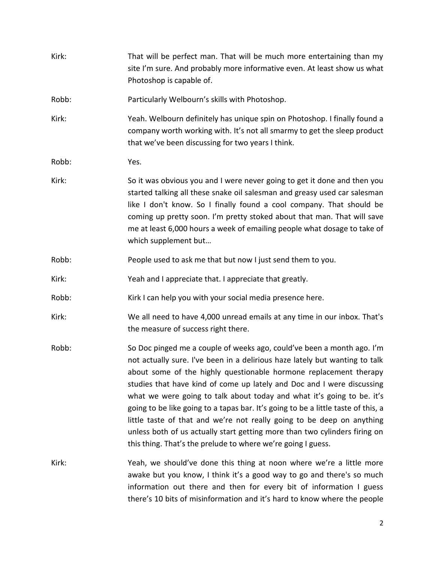| Kirk: | That will be perfect man. That will be much more entertaining than my<br>site I'm sure. And probably more informative even. At least show us what<br>Photoshop is capable of.                                                                                                                                                                                                                                                                                                                                                                                                                                                                                                               |  |
|-------|---------------------------------------------------------------------------------------------------------------------------------------------------------------------------------------------------------------------------------------------------------------------------------------------------------------------------------------------------------------------------------------------------------------------------------------------------------------------------------------------------------------------------------------------------------------------------------------------------------------------------------------------------------------------------------------------|--|
| Robb: | Particularly Welbourn's skills with Photoshop.                                                                                                                                                                                                                                                                                                                                                                                                                                                                                                                                                                                                                                              |  |
| Kirk: | Yeah. Welbourn definitely has unique spin on Photoshop. I finally found a<br>company worth working with. It's not all smarmy to get the sleep product<br>that we've been discussing for two years I think.                                                                                                                                                                                                                                                                                                                                                                                                                                                                                  |  |
| Robb: | Yes.                                                                                                                                                                                                                                                                                                                                                                                                                                                                                                                                                                                                                                                                                        |  |
| Kirk: | So it was obvious you and I were never going to get it done and then you<br>started talking all these snake oil salesman and greasy used car salesman<br>like I don't know. So I finally found a cool company. That should be<br>coming up pretty soon. I'm pretty stoked about that man. That will save<br>me at least 6,000 hours a week of emailing people what dosage to take of<br>which supplement but                                                                                                                                                                                                                                                                                |  |
| Robb: | People used to ask me that but now I just send them to you.                                                                                                                                                                                                                                                                                                                                                                                                                                                                                                                                                                                                                                 |  |
| Kirk: | Yeah and I appreciate that. I appreciate that greatly.                                                                                                                                                                                                                                                                                                                                                                                                                                                                                                                                                                                                                                      |  |
| Robb: | Kirk I can help you with your social media presence here.                                                                                                                                                                                                                                                                                                                                                                                                                                                                                                                                                                                                                                   |  |
| Kirk: | We all need to have 4,000 unread emails at any time in our inbox. That's<br>the measure of success right there.                                                                                                                                                                                                                                                                                                                                                                                                                                                                                                                                                                             |  |
| Robb: | So Doc pinged me a couple of weeks ago, could've been a month ago. I'm<br>not actually sure. I've been in a delirious haze lately but wanting to talk<br>about some of the highly questionable hormone replacement therapy<br>studies that have kind of come up lately and Doc and I were discussing<br>what we were going to talk about today and what it's going to be. it's<br>going to be like going to a tapas bar. It's going to be a little taste of this, a<br>little taste of that and we're not really going to be deep on anything<br>unless both of us actually start getting more than two cylinders firing on<br>this thing. That's the prelude to where we're going I guess. |  |
| Kirk: | Yeah, we should've done this thing at noon where we're a little more<br>awake but you know, I think it's a good way to go and there's so much<br>information out there and then for every bit of information I guess<br>there's 10 bits of misinformation and it's hard to know where the people                                                                                                                                                                                                                                                                                                                                                                                            |  |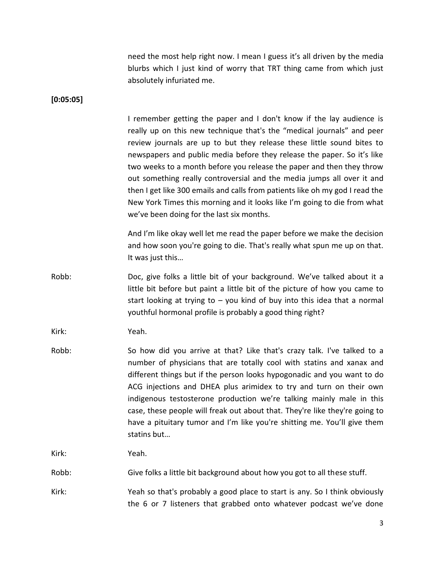need the most help right now. I mean I guess it's all driven by the media blurbs which I just kind of worry that TRT thing came from which just absolutely infuriated me.

**[0:05:05]**

I remember getting the paper and I don't know if the lay audience is really up on this new technique that's the "medical journals" and peer review journals are up to but they release these little sound bites to newspapers and public media before they release the paper. So it's like two weeks to a month before you release the paper and then they throw out something really controversial and the media jumps all over it and then I get like 300 emails and calls from patients like oh my god I read the New York Times this morning and it looks like I'm going to die from what we've been doing for the last six months.

And I'm like okay well let me read the paper before we make the decision and how soon you're going to die. That's really what spun me up on that. It was just this…

Robb: Doc, give folks a little bit of your background. We've talked about it a little bit before but paint a little bit of the picture of how you came to start looking at trying to – you kind of buy into this idea that a normal youthful hormonal profile is probably a good thing right?

Kirk: Yeah.

Robb: So how did you arrive at that? Like that's crazy talk. I've talked to a number of physicians that are totally cool with statins and xanax and different things but if the person looks hypogonadic and you want to do ACG injections and DHEA plus arimidex to try and turn on their own indigenous testosterone production we're talking mainly male in this case, these people will freak out about that. They're like they're going to have a pituitary tumor and I'm like you're shitting me. You'll give them statins but…

Kirk: Yeah.

Robb: Give folks a little bit background about how you got to all these stuff.

Kirk: Yeah so that's probably a good place to start is any. So I think obviously the 6 or 7 listeners that grabbed onto whatever podcast we've done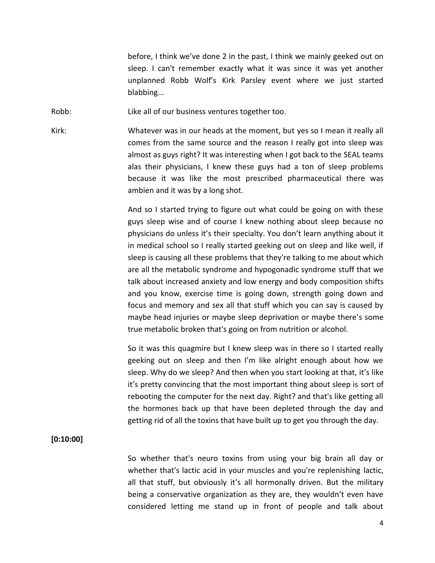before, I think we've done 2 in the past, I think we mainly geeked out on sleep. I can't remember exactly what it was since it was yet another unplanned Robb Wolf's Kirk Parsley event where we just started blabbing...

Robb: Like all of our business ventures together too.

Kirk: Whatever was in our heads at the moment, but yes so I mean it really all comes from the same source and the reason I really got into sleep was almost as guys right? It was interesting when I got back to the SEAL teams alas their physicians, I knew these guys had a ton of sleep problems because it was like the most prescribed pharmaceutical there was ambien and it was by a long shot.

> And so I started trying to figure out what could be going on with these guys sleep wise and of course I knew nothing about sleep because no physicians do unless it's their specialty. You don't learn anything about it in medical school so I really started geeking out on sleep and like well, if sleep is causing all these problems that they're talking to me about which are all the metabolic syndrome and hypogonadic syndrome stuff that we talk about increased anxiety and low energy and body composition shifts and you know, exercise time is going down, strength going down and focus and memory and sex all that stuff which you can say is caused by maybe head injuries or maybe sleep deprivation or maybe there's some true metabolic broken that's going on from nutrition or alcohol.

> So it was this quagmire but I knew sleep was in there so I started really geeking out on sleep and then I'm like alright enough about how we sleep. Why do we sleep? And then when you start looking at that, it's like it's pretty convincing that the most important thing about sleep is sort of rebooting the computer for the next day. Right? and that's like getting all the hormones back up that have been depleted through the day and getting rid of all the toxins that have built up to get you through the day.

# **[0:10:00]**

So whether that's neuro toxins from using your big brain all day or whether that's lactic acid in your muscles and you're replenishing lactic, all that stuff, but obviously it's all hormonally driven. But the military being a conservative organization as they are, they wouldn't even have considered letting me stand up in front of people and talk about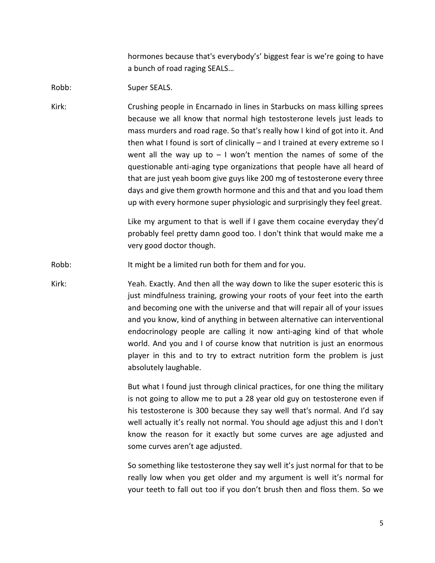hormones because that's everybody's' biggest fear is we're going to have a bunch of road raging SEALS…

Robb: Super SEALS.

Kirk: Crushing people in Encarnado in lines in Starbucks on mass killing sprees because we all know that normal high testosterone levels just leads to mass murders and road rage. So that's really how I kind of got into it. And then what I found is sort of clinically – and I trained at every extreme so I went all the way up to  $-1$  won't mention the names of some of the questionable anti-aging type organizations that people have all heard of that are just yeah boom give guys like 200 mg of testosterone every three days and give them growth hormone and this and that and you load them up with every hormone super physiologic and surprisingly they feel great.

> Like my argument to that is well if I gave them cocaine everyday they'd probably feel pretty damn good too. I don't think that would make me a very good doctor though.

Robb: It might be a limited run both for them and for you.

Kirk: Yeah. Exactly. And then all the way down to like the super esoteric this is just mindfulness training, growing your roots of your feet into the earth and becoming one with the universe and that will repair all of your issues and you know, kind of anything in between alternative can interventional endocrinology people are calling it now anti-aging kind of that whole world. And you and I of course know that nutrition is just an enormous player in this and to try to extract nutrition form the problem is just absolutely laughable.

> But what I found just through clinical practices, for one thing the military is not going to allow me to put a 28 year old guy on testosterone even if his testosterone is 300 because they say well that's normal. And I'd say well actually it's really not normal. You should age adjust this and I don't know the reason for it exactly but some curves are age adjusted and some curves aren't age adjusted.

> So something like testosterone they say well it's just normal for that to be really low when you get older and my argument is well it's normal for your teeth to fall out too if you don't brush then and floss them. So we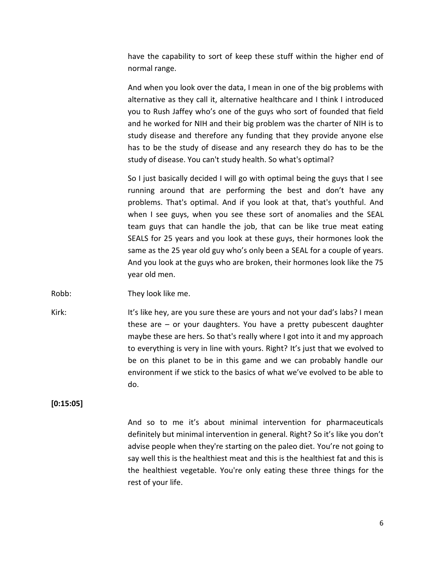have the capability to sort of keep these stuff within the higher end of normal range.

And when you look over the data, I mean in one of the big problems with alternative as they call it, alternative healthcare and I think I introduced you to Rush Jaffey who's one of the guys who sort of founded that field and he worked for NIH and their big problem was the charter of NIH is to study disease and therefore any funding that they provide anyone else has to be the study of disease and any research they do has to be the study of disease. You can't study health. So what's optimal?

So I just basically decided I will go with optimal being the guys that I see running around that are performing the best and don't have any problems. That's optimal. And if you look at that, that's youthful. And when I see guys, when you see these sort of anomalies and the SEAL team guys that can handle the job, that can be like true meat eating SEALS for 25 years and you look at these guys, their hormones look the same as the 25 year old guy who's only been a SEAL for a couple of years. And you look at the guys who are broken, their hormones look like the 75 year old men.

Robb: They look like me.

Kirk: It's like hey, are you sure these are yours and not your dad's labs? I mean these are – or your daughters. You have a pretty pubescent daughter maybe these are hers. So that's really where I got into it and my approach to everything is very in line with yours. Right? It's just that we evolved to be on this planet to be in this game and we can probably handle our environment if we stick to the basics of what we've evolved to be able to do.

**[0:15:05]**

And so to me it's about minimal intervention for pharmaceuticals definitely but minimal intervention in general. Right? So it's like you don't advise people when they're starting on the paleo diet. You're not going to say well this is the healthiest meat and this is the healthiest fat and this is the healthiest vegetable. You're only eating these three things for the rest of your life.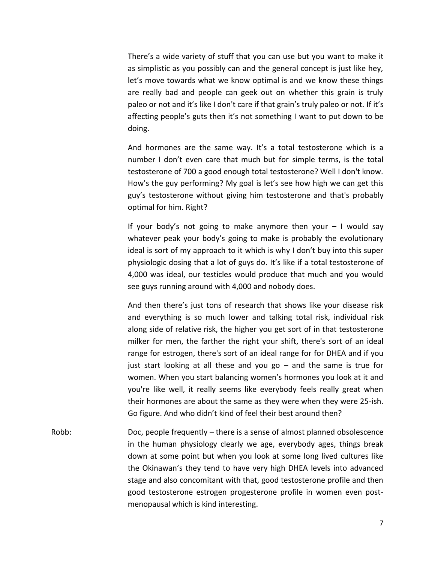There's a wide variety of stuff that you can use but you want to make it as simplistic as you possibly can and the general concept is just like hey, let's move towards what we know optimal is and we know these things are really bad and people can geek out on whether this grain is truly paleo or not and it's like I don't care if that grain's truly paleo or not. If it's affecting people's guts then it's not something I want to put down to be doing.

And hormones are the same way. It's a total testosterone which is a number I don't even care that much but for simple terms, is the total testosterone of 700 a good enough total testosterone? Well I don't know. How's the guy performing? My goal is let's see how high we can get this guy's testosterone without giving him testosterone and that's probably optimal for him. Right?

If your body's not going to make anymore then your  $-1$  would say whatever peak your body's going to make is probably the evolutionary ideal is sort of my approach to it which is why I don't buy into this super physiologic dosing that a lot of guys do. It's like if a total testosterone of 4,000 was ideal, our testicles would produce that much and you would see guys running around with 4,000 and nobody does.

And then there's just tons of research that shows like your disease risk and everything is so much lower and talking total risk, individual risk along side of relative risk, the higher you get sort of in that testosterone milker for men, the farther the right your shift, there's sort of an ideal range for estrogen, there's sort of an ideal range for for DHEA and if you just start looking at all these and you go – and the same is true for women. When you start balancing women's hormones you look at it and you're like well, it really seems like everybody feels really great when their hormones are about the same as they were when they were 25-ish. Go figure. And who didn't kind of feel their best around then?

Robb: Doc, people frequently – there is a sense of almost planned obsolescence in the human physiology clearly we age, everybody ages, things break down at some point but when you look at some long lived cultures like the Okinawan's they tend to have very high DHEA levels into advanced stage and also concomitant with that, good testosterone profile and then good testosterone estrogen progesterone profile in women even post menopausal which is kind interesting.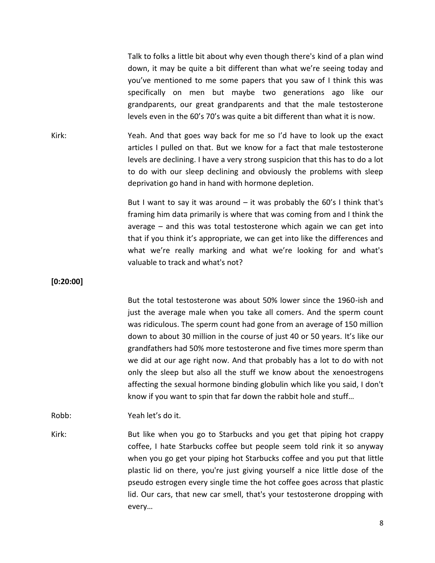Talk to folks a little bit about why even though there's kind of a plan wind down, it may be quite a bit different than what we're seeing today and you've mentioned to me some papers that you saw of I think this was specifically on men but maybe two generations ago like our grandparents, our great grandparents and that the male testosterone levels even in the 60's 70's was quite a bit different than what it is now.

Kirk: Yeah. And that goes way back for me so I'd have to look up the exact articles I pulled on that. But we know for a fact that male testosterone levels are declining. I have a very strong suspicion that this has to do a lot to do with our sleep declining and obviously the problems with sleep deprivation go hand in hand with hormone depletion.

> But I want to say it was around  $-$  it was probably the 60's I think that's framing him data primarily is where that was coming from and I think the average – and this was total testosterone which again we can get into that if you think it's appropriate, we can get into like the differences and what we're really marking and what we're looking for and what's valuable to track and what's not?

**[0:20:00]**

But the total testosterone was about 50% lower since the 1960-ish and just the average male when you take all comers. And the sperm count was ridiculous. The sperm count had gone from an average of 150 million down to about 30 million in the course of just 40 or 50 years. It's like our grandfathers had 50% more testosterone and five times more sperm than we did at our age right now. And that probably has a lot to do with not only the sleep but also all the stuff we know about the xenoestrogens affecting the sexual hormone binding globulin which like you said, I don't know if you want to spin that far down the rabbit hole and stuff…

Robb: Yeah let's do it.

Kirk: But like when you go to Starbucks and you get that piping hot crappy coffee, I hate Starbucks coffee but people seem told rink it so anyway when you go get your piping hot Starbucks coffee and you put that little plastic lid on there, you're just giving yourself a nice little dose of the pseudo estrogen every single time the hot coffee goes across that plastic lid. Our cars, that new car smell, that's your testosterone dropping with every…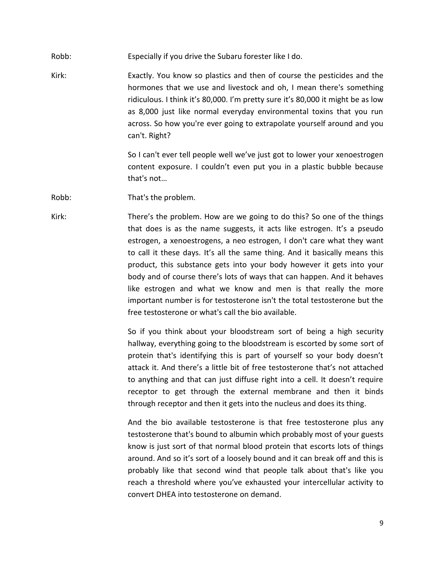- Robb: Especially if you drive the Subaru forester like I do.
- Kirk: Exactly. You know so plastics and then of course the pesticides and the hormones that we use and livestock and oh, I mean there's something ridiculous. I think it's 80,000. I'm pretty sure it's 80,000 it might be as low as 8,000 just like normal everyday environmental toxins that you run across. So how you're ever going to extrapolate yourself around and you can't. Right?

So I can't ever tell people well we've just got to lower your xenoestrogen content exposure. I couldn't even put you in a plastic bubble because that's not…

Robb: That's the problem.

Kirk: There's the problem. How are we going to do this? So one of the things that does is as the name suggests, it acts like estrogen. It's a pseudo estrogen, a xenoestrogens, a neo estrogen, I don't care what they want to call it these days. It's all the same thing. And it basically means this product, this substance gets into your body however it gets into your body and of course there's lots of ways that can happen. And it behaves like estrogen and what we know and men is that really the more important number is for testosterone isn't the total testosterone but the free testosterone or what's call the bio available.

> So if you think about your bloodstream sort of being a high security hallway, everything going to the bloodstream is escorted by some sort of protein that's identifying this is part of yourself so your body doesn't attack it. And there's a little bit of free testosterone that's not attached to anything and that can just diffuse right into a cell. It doesn't require receptor to get through the external membrane and then it binds through receptor and then it gets into the nucleus and does its thing.

> And the bio available testosterone is that free testosterone plus any testosterone that's bound to albumin which probably most of your guests know is just sort of that normal blood protein that escorts lots of things around. And so it's sort of a loosely bound and it can break off and this is probably like that second wind that people talk about that's like you reach a threshold where you've exhausted your intercellular activity to convert DHEA into testosterone on demand.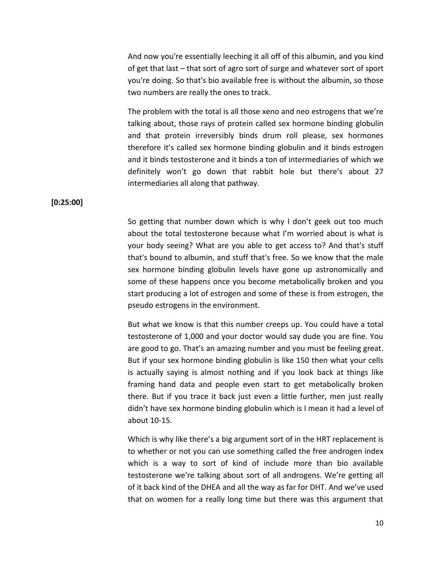And now you're essentially leeching it all off of this albumin, and you kind of get that last – that sort of agro sort of surge and whatever sort of sport you're doing. So that's bio available free is without the albumin, so those two numbers are really the ones to track.

The problem with the total is all those xeno and neo estrogens that we're talking about, those rays of protein called sex hormone binding globulin and that protein irreversibly binds drum roll please, sex hormones therefore it's called sex hormone binding globulin and it binds estrogen and it binds testosterone and it binds a ton of intermediaries of which we definitely won't go down that rabbit hole but there's about 27 intermediaries all along that pathway.

**[0:25:00]**

So getting that number down which is why I don't geek out too much about the total testosterone because what I'm worried about is what is your body seeing? What are you able to get access to? And that's stuff that's bound to albumin, and stuff that's free. So we know that the male sex hormone binding globulin levels have gone up astronomically and some of these happens once you become metabolically broken and you start producing a lot of estrogen and some of these is from estrogen, the pseudo estrogens in the environment.

But what we know is that this number creeps up. You could have a total testosterone of 1,000 and your doctor would say dude you are fine. You are good to go. That's an amazing number and you must be feeling great. But if your sex hormone binding globulin is like 150 then what your cells is actually saying is almost nothing and if you look back at things like framing hand data and people even start to get metabolically broken there. But if you trace it back just even a little further, men just really didn't have sex hormone binding globulin which is I mean it had a level of about 10-15.

Which is why like there's a big argument sort of in the HRT replacement is to whether or not you can use something called the free androgen index which is a way to sort of kind of include more than bio available testosterone we're talking about sort of all androgens. We're getting all of it back kind of the DHEA and all the way as far for DHT. And we've used that on women for a really long time but there was this argument that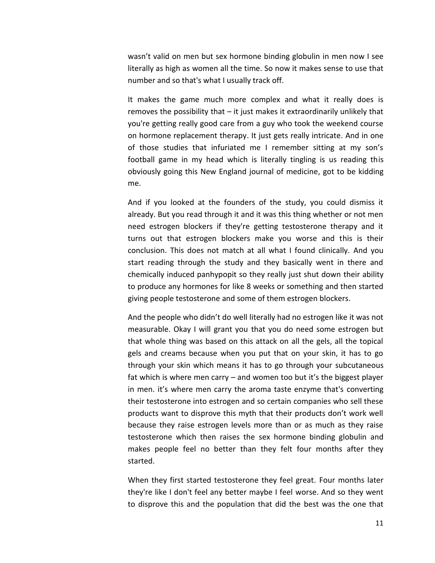wasn't valid on men but sex hormone binding globulin in men now I see literally as high as women all the time. So now it makes sense to use that number and so that's what I usually track off.

It makes the game much more complex and what it really does is removes the possibility that – it just makes it extraordinarily unlikely that you're getting really good care from a guy who took the weekend course on hormone replacement therapy. It just gets really intricate. And in one of those studies that infuriated me I remember sitting at my son's football game in my head which is literally tingling is us reading this obviously going this New England journal of medicine, got to be kidding me.

And if you looked at the founders of the study, you could dismiss it already. But you read through it and it was this thing whether or not men need estrogen blockers if they're getting testosterone therapy and it turns out that estrogen blockers make you worse and this is their conclusion. This does not match at all what I found clinically. And you start reading through the study and they basically went in there and chemically induced panhypopit so they really just shut down their ability to produce any hormones for like 8 weeks or something and then started giving people testosterone and some of them estrogen blockers.

And the people who didn't do well literally had no estrogen like it was not measurable. Okay I will grant you that you do need some estrogen but that whole thing was based on this attack on all the gels, all the topical gels and creams because when you put that on your skin, it has to go through your skin which means it has to go through your subcutaneous fat which is where men carry – and women too but it's the biggest player in men. it's where men carry the aroma taste enzyme that's converting their testosterone into estrogen and so certain companies who sell these products want to disprove this myth that their products don't work well because they raise estrogen levels more than or as much as they raise testosterone which then raises the sex hormone binding globulin and makes people feel no better than they felt four months after they started.

When they first started testosterone they feel great. Four months later they're like I don't feel any better maybe I feel worse. And so they went to disprove this and the population that did the best was the one that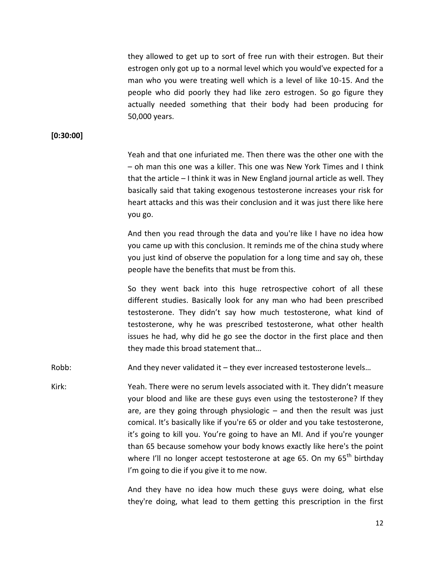they allowed to get up to sort of free run with their estrogen. But their estrogen only got up to a normal level which you would've expected for a man who you were treating well which is a level of like 10-15. And the people who did poorly they had like zero estrogen. So go figure they actually needed something that their body had been producing for 50,000 years.

### **[0:30:00]**

Yeah and that one infuriated me. Then there was the other one with the – oh man this one was a killer. This one was New York Times and I think that the article – I think it was in New England journal article as well. They basically said that taking exogenous testosterone increases your risk for heart attacks and this was their conclusion and it was just there like here you go.

And then you read through the data and you're like I have no idea how you came up with this conclusion. It reminds me of the china study where you just kind of observe the population for a long time and say oh, these people have the benefits that must be from this.

So they went back into this huge retrospective cohort of all these different studies. Basically look for any man who had been prescribed testosterone. They didn't say how much testosterone, what kind of testosterone, why he was prescribed testosterone, what other health issues he had, why did he go see the doctor in the first place and then they made this broad statement that…

Robb: And they never validated it – they ever increased testosterone levels...

Kirk: Yeah. There were no serum levels associated with it. They didn't measure your blood and like are these guys even using the testosterone? If they are, are they going through physiologic  $-$  and then the result was just comical. It's basically like if you're 65 or older and you take testosterone, it's going to kill you. You're going to have an MI. And if you're younger than 65 because somehow your body knows exactly like here's the point where I'll no longer accept testosterone at age 65. On my 65<sup>th</sup> birthday I'm going to die if you give it to me now.

> And they have no idea how much these guys were doing, what else they're doing, what lead to them getting this prescription in the first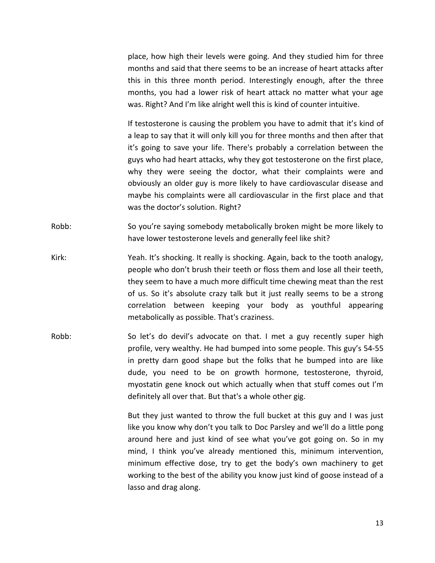place, how high their levels were going. And they studied him for three months and said that there seems to be an increase of heart attacks after this in this three month period. Interestingly enough, after the three months, you had a lower risk of heart attack no matter what your age was. Right? And I'm like alright well this is kind of counter intuitive.

If testosterone is causing the problem you have to admit that it's kind of a leap to say that it will only kill you for three months and then after that it's going to save your life. There's probably a correlation between the guys who had heart attacks, why they got testosterone on the first place, why they were seeing the doctor, what their complaints were and obviously an older guy is more likely to have cardiovascular disease and maybe his complaints were all cardiovascular in the first place and that was the doctor's solution. Right?

- Robb: So you're saying somebody metabolically broken might be more likely to have lower testosterone levels and generally feel like shit?
- Kirk: Yeah. It's shocking. It really is shocking. Again, back to the tooth analogy, people who don't brush their teeth or floss them and lose all their teeth, they seem to have a much more difficult time chewing meat than the rest of us. So it's absolute crazy talk but it just really seems to be a strong correlation between keeping your body as youthful appearing metabolically as possible. That's craziness.
- Robb: So let's do devil's advocate on that. I met a guy recently super high profile, very wealthy. He had bumped into some people. This guy's 54-55 in pretty darn good shape but the folks that he bumped into are like dude, you need to be on growth hormone, testosterone, thyroid, myostatin gene knock out which actually when that stuff comes out I'm definitely all over that. But that's a whole other gig.

But they just wanted to throw the full bucket at this guy and I was just like you know why don't you talk to Doc Parsley and we'll do a little pong around here and just kind of see what you've got going on. So in my mind, I think you've already mentioned this, minimum intervention, minimum effective dose, try to get the body's own machinery to get working to the best of the ability you know just kind of goose instead of a lasso and drag along.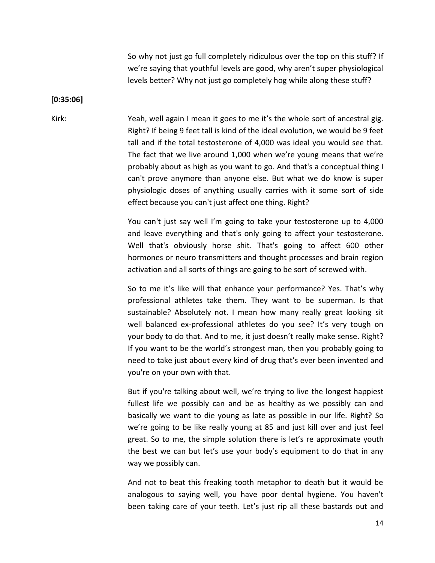So why not just go full completely ridiculous over the top on this stuff? If we're saying that youthful levels are good, why aren't super physiological levels better? Why not just go completely hog while along these stuff?

#### **[0:35:06]**

Kirk: Yeah, well again I mean it goes to me it's the whole sort of ancestral gig. Right? If being 9 feet tall is kind of the ideal evolution, we would be 9 feet tall and if the total testosterone of 4,000 was ideal you would see that. The fact that we live around 1,000 when we're young means that we're probably about as high as you want to go. And that's a conceptual thing I can't prove anymore than anyone else. But what we do know is super physiologic doses of anything usually carries with it some sort of side effect because you can't just affect one thing. Right?

> You can't just say well I'm going to take your testosterone up to 4,000 and leave everything and that's only going to affect your testosterone. Well that's obviously horse shit. That's going to affect 600 other hormones or neuro transmitters and thought processes and brain region activation and all sorts of things are going to be sort of screwed with.

> So to me it's like will that enhance your performance? Yes. That's why professional athletes take them. They want to be superman. Is that sustainable? Absolutely not. I mean how many really great looking sit well balanced ex-professional athletes do you see? It's very tough on your body to do that. And to me, it just doesn't really make sense. Right? If you want to be the world's strongest man, then you probably going to need to take just about every kind of drug that's ever been invented and you're on your own with that.

> But if you're talking about well, we're trying to live the longest happiest fullest life we possibly can and be as healthy as we possibly can and basically we want to die young as late as possible in our life. Right? So we're going to be like really young at 85 and just kill over and just feel great. So to me, the simple solution there is let's re approximate youth the best we can but let's use your body's equipment to do that in any way we possibly can.

> And not to beat this freaking tooth metaphor to death but it would be analogous to saying well, you have poor dental hygiene. You haven't been taking care of your teeth. Let's just rip all these bastards out and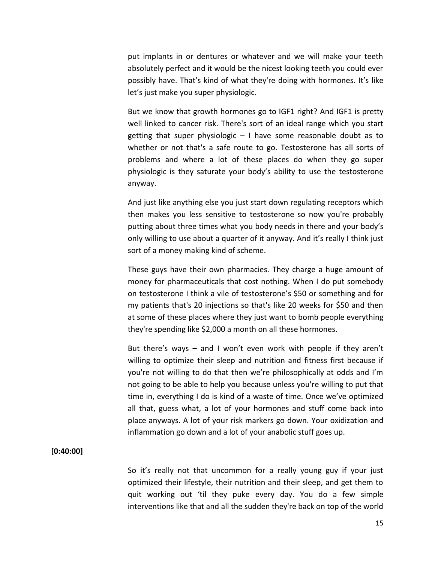put implants in or dentures or whatever and we will make your teeth absolutely perfect and it would be the nicest looking teeth you could ever possibly have. That's kind of what they're doing with hormones. It's like let's just make you super physiologic.

But we know that growth hormones go to IGF1 right? And IGF1 is pretty well linked to cancer risk. There's sort of an ideal range which you start getting that super physiologic  $-1$  have some reasonable doubt as to whether or not that's a safe route to go. Testosterone has all sorts of problems and where a lot of these places do when they go super physiologic is they saturate your body's ability to use the testosterone anyway.

And just like anything else you just start down regulating receptors which then makes you less sensitive to testosterone so now you're probably putting about three times what you body needs in there and your body's only willing to use about a quarter of it anyway. And it's really I think just sort of a money making kind of scheme.

These guys have their own pharmacies. They charge a huge amount of money for pharmaceuticals that cost nothing. When I do put somebody on testosterone I think a vile of testosterone's \$50 or something and for my patients that's 20 injections so that's like 20 weeks for \$50 and then at some of these places where they just want to bomb people everything they're spending like \$2,000 a month on all these hormones.

But there's ways – and I won't even work with people if they aren't willing to optimize their sleep and nutrition and fitness first because if you're not willing to do that then we're philosophically at odds and I'm not going to be able to help you because unless you're willing to put that time in, everything I do is kind of a waste of time. Once we've optimized all that, guess what, a lot of your hormones and stuff come back into place anyways. A lot of your risk markers go down. Your oxidization and inflammation go down and a lot of your anabolic stuff goes up.

# **[0:40:00]**

So it's really not that uncommon for a really young guy if your just optimized their lifestyle, their nutrition and their sleep, and get them to quit working out 'til they puke every day. You do a few simple interventions like that and all the sudden they're back on top of the world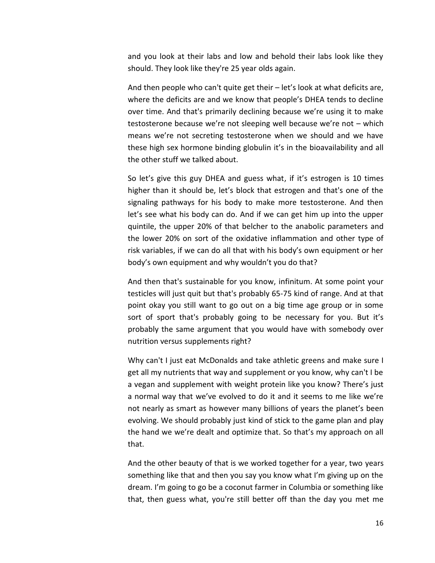and you look at their labs and low and behold their labs look like they should. They look like they're 25 year olds again.

And then people who can't quite get their – let's look at what deficits are, where the deficits are and we know that people's DHEA tends to decline over time. And that's primarily declining because we're using it to make testosterone because we're not sleeping well because we're not – which means we're not secreting testosterone when we should and we have these high sex hormone binding globulin it's in the bioavailability and all the other stuff we talked about.

So let's give this guy DHEA and guess what, if it's estrogen is 10 times higher than it should be, let's block that estrogen and that's one of the signaling pathways for his body to make more testosterone. And then let's see what his body can do. And if we can get him up into the upper quintile, the upper 20% of that belcher to the anabolic parameters and the lower 20% on sort of the oxidative inflammation and other type of risk variables, if we can do all that with his body's own equipment or her body's own equipment and why wouldn't you do that?

And then that's sustainable for you know, infinitum. At some point your testicles will just quit but that's probably 65-75 kind of range. And at that point okay you still want to go out on a big time age group or in some sort of sport that's probably going to be necessary for you. But it's probably the same argument that you would have with somebody over nutrition versus supplements right?

Why can't I just eat McDonalds and take athletic greens and make sure I get all my nutrients that way and supplement or you know, why can't I be a vegan and supplement with weight protein like you know? There's just a normal way that we've evolved to do it and it seems to me like we're not nearly as smart as however many billions of years the planet's been evolving. We should probably just kind of stick to the game plan and play the hand we we're dealt and optimize that. So that's my approach on all that.

And the other beauty of that is we worked together for a year, two years something like that and then you say you know what I'm giving up on the dream. I'm going to go be a coconut farmer in Columbia or something like that, then guess what, you're still better off than the day you met me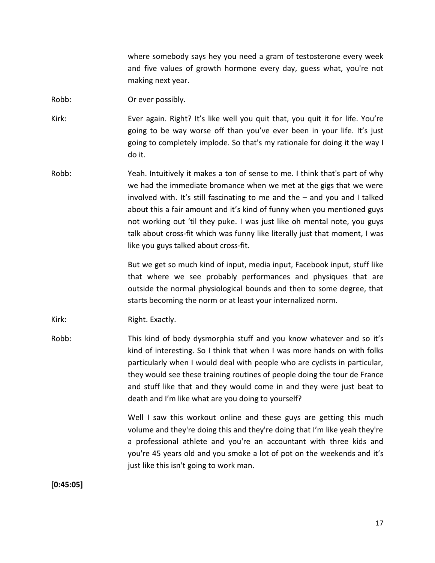where somebody says hey you need a gram of testosterone every week and five values of growth hormone every day, guess what, you're not making next year.

Robb: Or ever possibly.

Kirk: Ever again. Right? It's like well you quit that, you quit it for life. You're going to be way worse off than you've ever been in your life. It's just going to completely implode. So that's my rationale for doing it the way I do it.

Robb: Yeah. Intuitively it makes a ton of sense to me. I think that's part of why we had the immediate bromance when we met at the gigs that we were involved with. It's still fascinating to me and the – and you and I talked about this a fair amount and it's kind of funny when you mentioned guys not working out 'til they puke. I was just like oh mental note, you guys talk about cross-fit which was funny like literally just that moment, I was like you guys talked about cross-fit.

> But we get so much kind of input, media input, Facebook input, stuff like that where we see probably performances and physiques that are outside the normal physiological bounds and then to some degree, that starts becoming the norm or at least your internalized norm.

Kirk: Right. Exactly.

Robb: This kind of body dysmorphia stuff and you know whatever and so it's kind of interesting. So I think that when I was more hands on with folks particularly when I would deal with people who are cyclists in particular, they would see these training routines of people doing the tour de France and stuff like that and they would come in and they were just beat to death and I'm like what are you doing to yourself?

> Well I saw this workout online and these guys are getting this much volume and they're doing this and they're doing that I'm like yeah they're a professional athlete and you're an accountant with three kids and you're 45 years old and you smoke a lot of pot on the weekends and it's just like this isn't going to work man.

**[0:45:05]**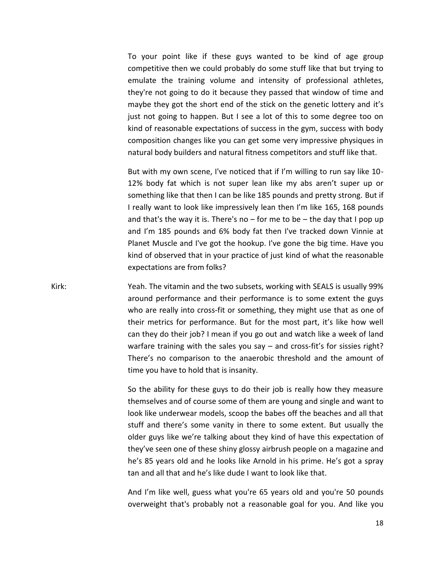To your point like if these guys wanted to be kind of age group competitive then we could probably do some stuff like that but trying to emulate the training volume and intensity of professional athletes, they're not going to do it because they passed that window of time and maybe they got the short end of the stick on the genetic lottery and it's just not going to happen. But I see a lot of this to some degree too on kind of reasonable expectations of success in the gym, success with body composition changes like you can get some very impressive physiques in natural body builders and natural fitness competitors and stuff like that.

But with my own scene, I've noticed that if I'm willing to run say like 10- 12% body fat which is not super lean like my abs aren't super up or something like that then I can be like 185 pounds and pretty strong. But if I really want to look like impressively lean then I'm like 165, 168 pounds and that's the way it is. There's no  $-$  for me to be  $-$  the day that I pop up and I'm 185 pounds and 6% body fat then I've tracked down Vinnie at Planet Muscle and I've got the hookup. I've gone the big time. Have you kind of observed that in your practice of just kind of what the reasonable expectations are from folks?

Kirk: Yeah. The vitamin and the two subsets, working with SEALS is usually 99% around performance and their performance is to some extent the guys who are really into cross-fit or something, they might use that as one of their metrics for performance. But for the most part, it's like how well can they do their job? I mean if you go out and watch like a week of land warfare training with the sales you say – and cross-fit's for sissies right? There's no comparison to the anaerobic threshold and the amount of time you have to hold that is insanity.

> So the ability for these guys to do their job is really how they measure themselves and of course some of them are young and single and want to look like underwear models, scoop the babes off the beaches and all that stuff and there's some vanity in there to some extent. But usually the older guys like we're talking about they kind of have this expectation of they've seen one of these shiny glossy airbrush people on a magazine and he's 85 years old and he looks like Arnold in his prime. He's got a spray tan and all that and he's like dude I want to look like that.

> And I'm like well, guess what you're 65 years old and you're 50 pounds overweight that's probably not a reasonable goal for you. And like you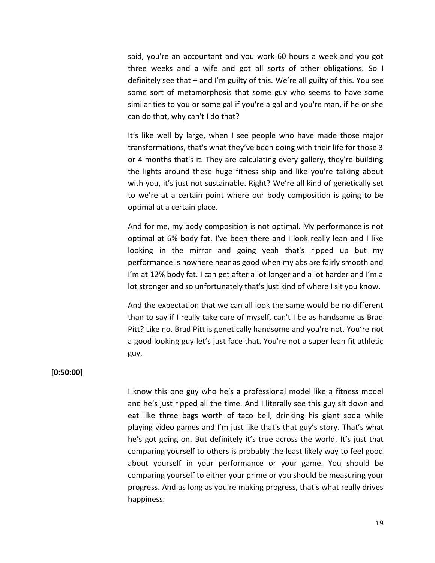said, you're an accountant and you work 60 hours a week and you got three weeks and a wife and got all sorts of other obligations. So I definitely see that – and I'm guilty of this. We're all guilty of this. You see some sort of metamorphosis that some guy who seems to have some similarities to you or some gal if you're a gal and you're man, if he or she can do that, why can't I do that?

It's like well by large, when I see people who have made those major transformations, that's what they've been doing with their life for those 3 or 4 months that's it. They are calculating every gallery, they're building the lights around these huge fitness ship and like you're talking about with you, it's just not sustainable. Right? We're all kind of genetically set to we're at a certain point where our body composition is going to be optimal at a certain place.

And for me, my body composition is not optimal. My performance is not optimal at 6% body fat. I've been there and I look really lean and I like looking in the mirror and going yeah that's ripped up but my performance is nowhere near as good when my abs are fairly smooth and I'm at 12% body fat. I can get after a lot longer and a lot harder and I'm a lot stronger and so unfortunately that's just kind of where I sit you know.

And the expectation that we can all look the same would be no different than to say if I really take care of myself, can't I be as handsome as Brad Pitt? Like no. Brad Pitt is genetically handsome and you're not. You're not a good looking guy let's just face that. You're not a super lean fit athletic guy.

# **[0:50:00]**

I know this one guy who he's a professional model like a fitness model and he's just ripped all the time. And I literally see this guy sit down and eat like three bags worth of taco bell, drinking his giant soda while playing video games and I'm just like that's that guy's story. That's what he's got going on. But definitely it's true across the world. It's just that comparing yourself to others is probably the least likely way to feel good about yourself in your performance or your game. You should be comparing yourself to either your prime or you should be measuring your progress. And as long as you're making progress, that's what really drives happiness.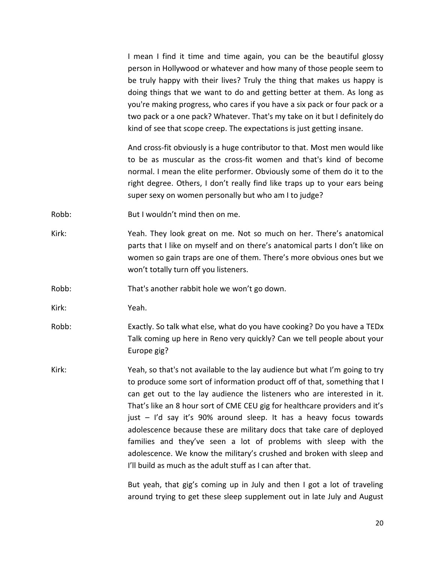I mean I find it time and time again, you can be the beautiful glossy person in Hollywood or whatever and how many of those people seem to be truly happy with their lives? Truly the thing that makes us happy is doing things that we want to do and getting better at them. As long as you're making progress, who cares if you have a six pack or four pack or a two pack or a one pack? Whatever. That's my take on it but I definitely do kind of see that scope creep. The expectations is just getting insane.

And cross-fit obviously is a huge contributor to that. Most men would like to be as muscular as the cross-fit women and that's kind of become normal. I mean the elite performer. Obviously some of them do it to the right degree. Others, I don't really find like traps up to your ears being super sexy on women personally but who am I to judge?

Robb: But I wouldn't mind then on me.

Kirk: Yeah. They look great on me. Not so much on her. There's anatomical parts that I like on myself and on there's anatomical parts I don't like on women so gain traps are one of them. There's more obvious ones but we won't totally turn off you listeners.

Robb: That's another rabbit hole we won't go down.

Kirk: Yeah.

Robb: Exactly. So talk what else, what do you have cooking? Do you have a TEDx Talk coming up here in Reno very quickly? Can we tell people about your Europe gig?

Kirk: Yeah, so that's not available to the lay audience but what I'm going to try to produce some sort of information product off of that, something that I can get out to the lay audience the listeners who are interested in it. That's like an 8 hour sort of CME CEU gig for healthcare providers and it's just – I'd say it's 90% around sleep. It has a heavy focus towards adolescence because these are military docs that take care of deployed families and they've seen a lot of problems with sleep with the adolescence. We know the military's crushed and broken with sleep and I'll build as much as the adult stuff as I can after that.

> But yeah, that gig's coming up in July and then I got a lot of traveling around trying to get these sleep supplement out in late July and August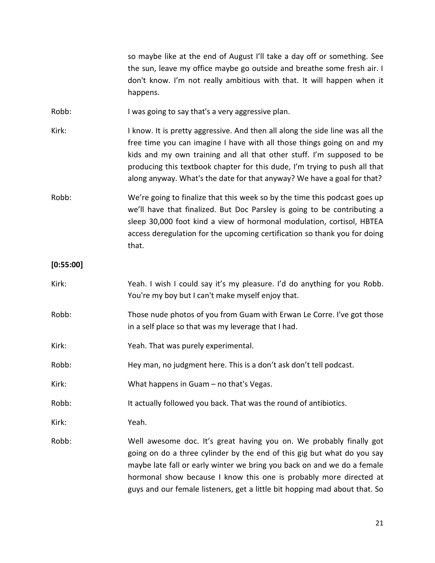so maybe like at the end of August I'll take a day off or something. See the sun, leave my office maybe go outside and breathe some fresh air. I don't know. I'm not really ambitious with that. It will happen when it happens.

Robb: I was going to say that's a very aggressive plan.

Kirk: I know. It is pretty aggressive. And then all along the side line was all the free time you can imagine I have with all those things going on and my kids and my own training and all that other stuff. I'm supposed to be producing this textbook chapter for this dude, I'm trying to push all that along anyway. What's the date for that anyway? We have a goal for that?

Robb: We're going to finalize that this week so by the time this podcast goes up we'll have that finalized. But Doc Parsley is going to be contributing a sleep 30,000 foot kind a view of hormonal modulation, cortisol, HBTEA access deregulation for the upcoming certification so thank you for doing that.

# **[0:55:00]**

| Kirk: | Yeah. I wish I could say it's my pleasure. I'd do anything for you Robb.<br>You're my boy but I can't make myself enjoy that.                                                                                                                                                                                                                                                 |
|-------|-------------------------------------------------------------------------------------------------------------------------------------------------------------------------------------------------------------------------------------------------------------------------------------------------------------------------------------------------------------------------------|
| Robb: | Those nude photos of you from Guam with Erwan Le Corre. I've got those<br>in a self place so that was my leverage that I had.                                                                                                                                                                                                                                                 |
| Kirk: | Yeah. That was purely experimental.                                                                                                                                                                                                                                                                                                                                           |
| Robb: | Hey man, no judgment here. This is a don't ask don't tell podcast.                                                                                                                                                                                                                                                                                                            |
| Kirk: | What happens in Guam – no that's Vegas.                                                                                                                                                                                                                                                                                                                                       |
| Robb: | It actually followed you back. That was the round of antibiotics.                                                                                                                                                                                                                                                                                                             |
| Kirk: | Yeah.                                                                                                                                                                                                                                                                                                                                                                         |
| Robb: | Well awesome doc. It's great having you on. We probably finally got<br>going on do a three cylinder by the end of this gig but what do you say<br>maybe late fall or early winter we bring you back on and we do a female<br>hormonal show because I know this one is probably more directed at<br>guys and our female listeners, get a little bit hopping mad about that. So |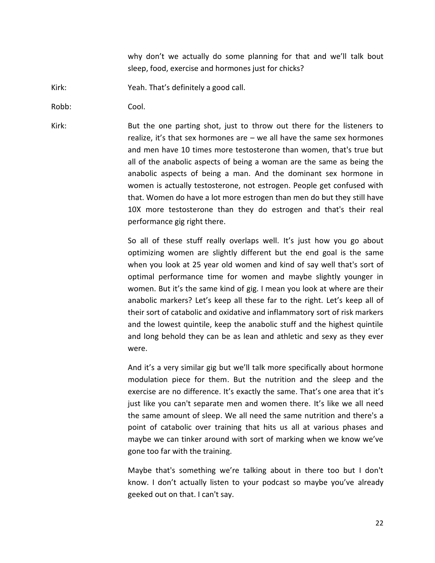why don't we actually do some planning for that and we'll talk bout sleep, food, exercise and hormones just for chicks?

Kirk: Yeah. That's definitely a good call.

Robb: Cool.

Kirk: But the one parting shot, just to throw out there for the listeners to realize, it's that sex hormones are – we all have the same sex hormones and men have 10 times more testosterone than women, that's true but all of the anabolic aspects of being a woman are the same as being the anabolic aspects of being a man. And the dominant sex hormone in women is actually testosterone, not estrogen. People get confused with that. Women do have a lot more estrogen than men do but they still have 10X more testosterone than they do estrogen and that's their real performance gig right there.

> So all of these stuff really overlaps well. It's just how you go about optimizing women are slightly different but the end goal is the same when you look at 25 year old women and kind of say well that's sort of optimal performance time for women and maybe slightly younger in women. But it's the same kind of gig. I mean you look at where are their anabolic markers? Let's keep all these far to the right. Let's keep all of their sort of catabolic and oxidative and inflammatory sort of risk markers and the lowest quintile, keep the anabolic stuff and the highest quintile and long behold they can be as lean and athletic and sexy as they ever were.

> And it's a very similar gig but we'll talk more specifically about hormone modulation piece for them. But the nutrition and the sleep and the exercise are no difference. It's exactly the same. That's one area that it's just like you can't separate men and women there. It's like we all need the same amount of sleep. We all need the same nutrition and there's a point of catabolic over training that hits us all at various phases and maybe we can tinker around with sort of marking when we know we've gone too far with the training.

> Maybe that's something we're talking about in there too but I don't know. I don't actually listen to your podcast so maybe you've already geeked out on that. I can't say.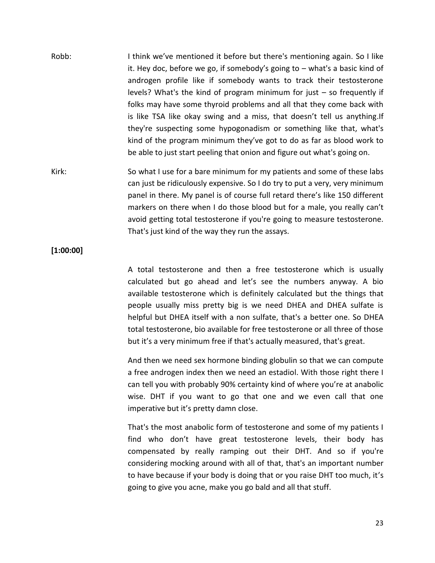- Robb: I think we've mentioned it before but there's mentioning again. So I like it. Hey doc, before we go, if somebody's going to – what's a basic kind of androgen profile like if somebody wants to track their testosterone levels? What's the kind of program minimum for just – so frequently if folks may have some thyroid problems and all that they come back with is like TSA like okay swing and a miss, that doesn't tell us anything.If they're suspecting some hypogonadism or something like that, what's kind of the program minimum they've got to do as far as blood work to be able to just start peeling that onion and figure out what's going on.
- Kirk: So what I use for a bare minimum for my patients and some of these labs can just be ridiculously expensive. So I do try to put a very, very minimum panel in there. My panel is of course full retard there's like 150 different markers on there when I do those blood but for a male, you really can't avoid getting total testosterone if you're going to measure testosterone. That's just kind of the way they run the assays.

**[1:00:00]**

A total testosterone and then a free testosterone which is usually calculated but go ahead and let's see the numbers anyway. A bio available testosterone which is definitely calculated but the things that people usually miss pretty big is we need DHEA and DHEA sulfate is helpful but DHEA itself with a non sulfate, that's a better one. So DHEA total testosterone, bio available for free testosterone or all three of those but it's a very minimum free if that's actually measured, that's great.

And then we need sex hormone binding globulin so that we can compute a free androgen index then we need an estadiol. With those right there I can tell you with probably 90% certainty kind of where you're at anabolic wise. DHT if you want to go that one and we even call that one imperative but it's pretty damn close.

That's the most anabolic form of testosterone and some of my patients I find who don't have great testosterone levels, their body has compensated by really ramping out their DHT. And so if you're considering mocking around with all of that, that's an important number to have because if your body is doing that or you raise DHT too much, it's going to give you acne, make you go bald and all that stuff.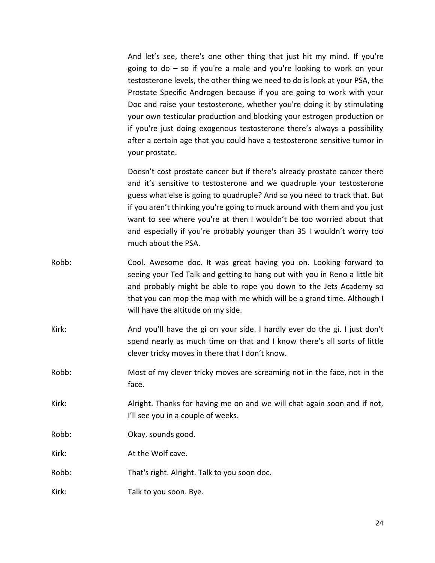And let's see, there's one other thing that just hit my mind. If you're going to do – so if you're a male and you're looking to work on your testosterone levels, the other thing we need to do is look at your PSA, the Prostate Specific Androgen because if you are going to work with your Doc and raise your testosterone, whether you're doing it by stimulating your own testicular production and blocking your estrogen production or if you're just doing exogenous testosterone there's always a possibility after a certain age that you could have a testosterone sensitive tumor in your prostate.

Doesn't cost prostate cancer but if there's already prostate cancer there and it's sensitive to testosterone and we quadruple your testosterone guess what else is going to quadruple? And so you need to track that. But if you aren't thinking you're going to muck around with them and you just want to see where you're at then I wouldn't be too worried about that and especially if you're probably younger than 35 I wouldn't worry too much about the PSA.

- Robb: Cool. Awesome doc. It was great having you on. Looking forward to seeing your Ted Talk and getting to hang out with you in Reno a little bit and probably might be able to rope you down to the Jets Academy so that you can mop the map with me which will be a grand time. Although I will have the altitude on my side.
- Kirk: And you'll have the gi on your side. I hardly ever do the gi. I just don't spend nearly as much time on that and I know there's all sorts of little clever tricky moves in there that I don't know.
- Robb: Most of my clever tricky moves are screaming not in the face, not in the face.
- Kirk: Alright. Thanks for having me on and we will chat again soon and if not, I'll see you in a couple of weeks.
- Robb: Okay, sounds good.
- Kirk: At the Wolf cave.
- Robb: That's right. Alright. Talk to you soon doc.
- Kirk: Talk to you soon. Bye.